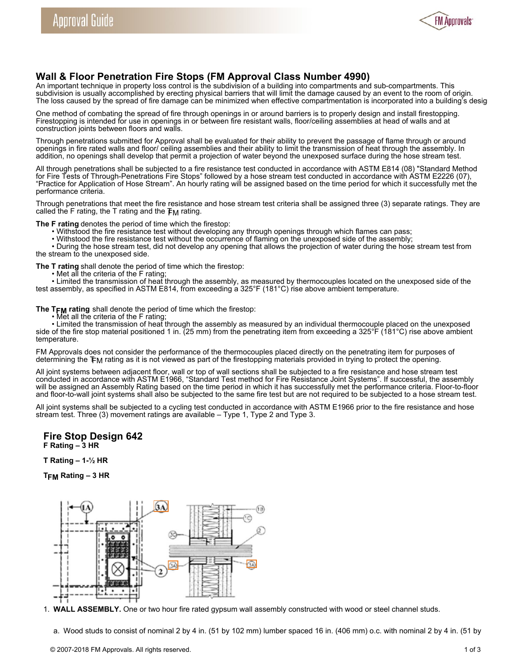

## **Wall & Floor Penetration Fire Stops (FM Approval Class Number 4990)**

An important technique in property loss control is the subdivision of a building into compartments and sub-compartments. This subdivision is usually accomplished by erecting physical barriers that will limit the damage caused by an event to the room of origin. The loss caused by the spread of fire damage can be minimized when effective compartmentation is incorporated into a building's desig

One method of combating the spread of fire through openings in or around barriers is to properly design and install firestopping. Firestopping is intended for use in openings in or between fire resistant walls, floor/ceiling assemblies at head of walls and at construction joints between floors and walls.

Through penetrations submitted for Approval shall be evaluated for their ability to prevent the passage of flame through or around openings in fire rated walls and floor/ ceiling assemblies and their ability to limit the transmission of heat through the assembly. In addition, no openings shall develop that permit a projection of water beyond the unexposed surface during the hose stream test.

All through penetrations shall be subjected to a fire resistance test conducted in accordance with ASTM E814 (08) "Standard Method for Fire Tests of Through-Penetrations Fire Stops" followed by a hose stream test conducted in accordance with ASTM E2226 (07), "Practice for Application of Hose Stream". An hourly rating will be assigned based on the time period for which it successfully met the performance criteria.

Through penetrations that meet the fire resistance and hose stream test criteria shall be assigned three (3) separate ratings. They are called the F rating, the T rating and the  $F_M$  rating.

**The F rating** denotes the period of time which the firestop:

- Withstood the fire resistance test without developing any through openings through which flames can pass;
- Withstood the fire resistance test without the occurrence of flaming on the unexposed side of the assembly;

• During the hose stream test, did not develop any opening that allows the projection of water during the hose stream test from the stream to the unexposed side.

- **The T rating** shall denote the period of time which the firestop:
	- Met all the criteria of the F rating;

• Limited the transmission of heat through the assembly, as measured by thermocouples located on the unexposed side of the test assembly, as specified in ASTM E814, from exceeding a 325°F (181°C) rise above ambient temperature.

The T<sub>FM</sub> rating shall denote the period of time which the firestop:

• Met all the criteria of the F rating;

• Limited the transmission of heat through the assembly as measured by an individual thermocouple placed on the unexposed side of the fire stop material positioned 1 in. (25 mm) from the penetrating item from exceeding a 325°F (181°C) rise above ambient temperature.

FM Approvals does not consider the performance of the thermocouples placed directly on the penetrating item for purposes of determining the TFM rating as it is not viewed as part of the firestopping materials provided in trying to protect the opening.

All joint systems between adjacent floor, wall or top of wall sections shall be subjected to a fire resistance and hose stream test conducted in accordance with ASTM E1966, "Standard Test method for Fire Resistance Joint Systems". If successful, the assembly will be assigned an Assembly Rating based on the time period in which it has successfully met the performance criteria. Floor-to-floor and floor-to-wall joint systems shall also be subjected to the same fire test but are not required to be subjected to a hose stream test.

All joint systems shall be subjected to a cycling test conducted in accordance with ASTM E1966 prior to the fire resistance and hose stream test. Three (3) movement ratings are available – Type 1, Type 2 and Type 3.

**Fire Stop Design 642 F Rating – 3 HR**

**T Rating – 1-½ HR** 

**TFM Rating – 3 HR**



1. **WALL ASSEMBLY.** One or two hour fire rated gypsum wall assembly constructed with wood or steel channel studs.

a. Wood studs to consist of nominal 2 by 4 in. (51 by 102 mm) lumber spaced 16 in. (406 mm) o.c. with nominal 2 by 4 in. (51 by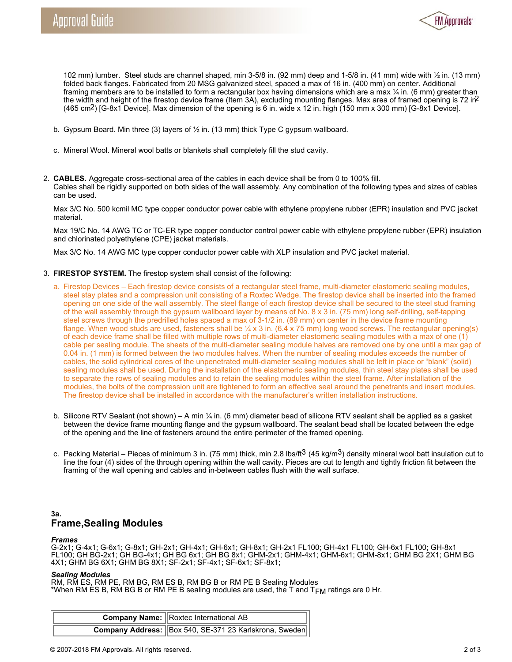

102 mm) lumber. Steel studs are channel shaped, min 3-5/8 in. (92 mm) deep and 1-5/8 in. (41 mm) wide with ½ in. (13 mm) folded back flanges. Fabricated from 20 MSG galvanized steel, spaced a max of 16 in. (400 mm) on center. Additional framing members are to be installed to form a rectangular box having dimensions which are a max 1/4 in. (6 mm) greater than the width and height of the firestop device frame (Item 3A), excluding mounting flanges. Max area of framed opening is 72 in<sup>2</sup> (465 cm2) [G-8x1 Device]. Max dimension of the opening is 6 in. wide x 12 in. high (150 mm x 300 mm) [G-8x1 Device].

- b. Gypsum Board. Min three (3) layers of  $\frac{1}{2}$  in. (13 mm) thick Type C gypsum wallboard.
- c. Mineral Wool. Mineral wool batts or blankets shall completely fill the stud cavity.
- 2. **CABLES.** Aggregate cross-sectional area of the cables in each device shall be from 0 to 100% fill. Cables shall be rigidly supported on both sides of the wall assembly. Any combination of the following types and sizes of cables can be used.

Max 3/C No. 500 kcmil MC type copper conductor power cable with ethylene propylene rubber (EPR) insulation and PVC jacket material.

Max 19/C No. 14 AWG TC or TC-ER type copper conductor control power cable with ethylene propylene rubber (EPR) insulation and chlorinated polyethylene (CPE) jacket materials.

Max 3/C No. 14 AWG MC type copper conductor power cable with XLP insulation and PVC jacket material.

- 3. **FIRESTOP SYSTEM.** The firestop system shall consist of the following:
	- a. Firestop Devices Each firestop device consists of a rectangular steel frame, multi-diameter elastomeric sealing modules, steel stay plates and a compression unit consisting of a Roxtec Wedge. The firestop device shall be inserted into the framed opening on one side of the wall assembly. The steel flange of each firestop device shall be secured to the steel stud framing of the wall assembly through the gypsum wallboard layer by means of No. 8 x 3 in. (75 mm) long self-drilling, self-tapping steel screws through the predrilled holes spaced a max of 3-1/2 in. (89 mm) on center in the device frame mounting flange. When wood studs are used, fasteners shall be  $\frac{1}{4}$  x 3 in. (6.4 x 75 mm) long wood screws. The rectangular opening(s) of each device frame shall be filled with multiple rows of multi-diameter elastomeric sealing modules with a max of one (1) cable per sealing module. The sheets of the multi-diameter sealing module halves are removed one by one until a max gap of 0.04 in. (1 mm) is formed between the two modules halves. When the number of sealing modules exceeds the number of cables, the solid cylindrical cores of the unpenetrated multi-diameter sealing modules shall be left in place or "blank" (solid) sealing modules shall be used. During the installation of the elastomeric sealing modules, thin steel stay plates shall be used to separate the rows of sealing modules and to retain the sealing modules within the steel frame. After installation of the modules, the bolts of the compression unit are tightened to form an effective seal around the penetrants and insert modules. The firestop device shall be installed in accordance with the manufacturer's written installation instructions.
	- b. Silicone RTV Sealant (not shown) A min ¼ in. (6 mm) diameter bead of silicone RTV sealant shall be applied as a gasket between the device frame mounting flange and the gypsum wallboard. The sealant bead shall be located between the edge of the opening and the line of fasteners around the entire perimeter of the framed opening.
	- c. Packing Material Pieces of minimum 3 in. (75 mm) thick, min 2.8 lbs/ft<sup>3</sup> (45 kg/m<sup>3</sup>) density mineral wool batt insulation cut to line the four (4) sides of the through opening within the wall cavity. Pieces are cut to length and tightly friction fit between the framing of the wall opening and cables and in-between cables flush with the wall surface.

## **3a. Frame,Sealing Modules**

## *Frames*

G-2x1; G-4x1; G-6x1; G-8x1; GH-2x1; GH-4x1; GH-6x1; GH-8x1; GH-2x1 FL100; GH-4x1 FL100; GH-6x1 FL100; GH-8x1 FL100; GH BG-2x1; GH BG-4x1; GH BG 6x1; GH BG 8x1; GHM-2x1; GHM-4x1; GHM-6x1; GHM-8x1; GHM BG 2X1; GHM BG 4X1; GHM BG 6X1; GHM BG 8X1; SF-2x1; SF-4x1; SF-6x1; SF-8x1;

## *Sealing Modules*

RM, RM ES, RM PE, RM BG, RM ES B, RM BG B or RM PE B Sealing Modules \*When RM ES B, RM BG B or RM PE B sealing modules are used, the T and TFM ratings are 0 Hr.

| <b>Company Name:</b> Roxtec International AB           |
|--------------------------------------------------------|
| Company Address: Box 540, SE-371 23 Karlskrona, Sweden |